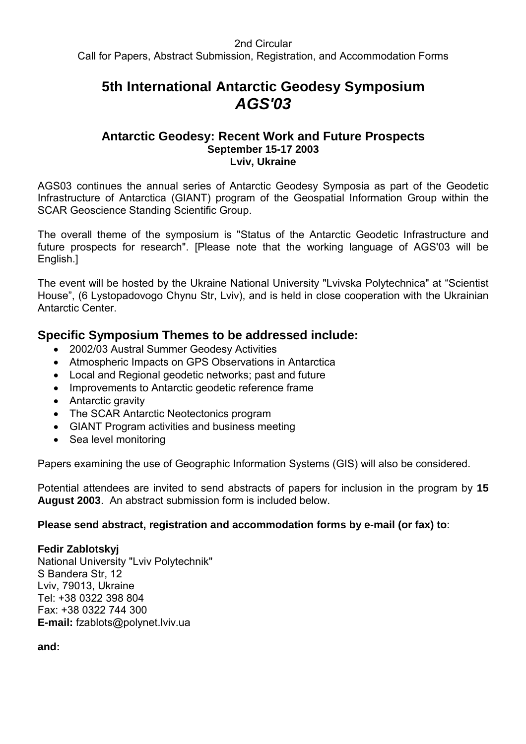# **5th International Antarctic Geodesy Symposium** *AGS'03*

### **Antarctic Geodesy: Recent Work and Future Prospects September 15-17 2003 Lviv, Ukraine**

AGS03 continues the annual series of Antarctic Geodesy Symposia as part of the Geodetic Infrastructure of Antarctica (GIANT) program of the Geospatial Information Group within the SCAR Geoscience Standing Scientific Group.

The overall theme of the symposium is "Status of the Antarctic Geodetic Infrastructure and future prospects for research". [Please note that the working language of AGS'03 will be English.]

The event will be hosted by the Ukraine National University "Lvivska Polytechnica" at "Scientist House", (6 Lystopadovogo Chynu Str, Lviv), and is held in close cooperation with the Ukrainian Antarctic Center.

# **Specific Symposium Themes to be addressed include:**

- 2002/03 Austral Summer Geodesy Activities
- Atmospheric Impacts on GPS Observations in Antarctica
- Local and Regional geodetic networks; past and future
- Improvements to Antarctic geodetic reference frame
- Antarctic gravity
- The SCAR Antarctic Neotectonics program
- GIANT Program activities and business meeting
- Sea level monitoring

Papers examining the use of Geographic Information Systems (GIS) will also be considered.

Potential attendees are invited to send abstracts of papers for inclusion in the program by **15 August 2003**. An abstract submission form is included below.

## **Please send abstract, registration and accommodation forms by e-mail (or fax) to**:

#### **Fedir Zablotskyj**

National University "Lviv Polytechnik" S Bandera Str, 12 Lviv, 79013, Ukraine Tel: +38 0322 398 804 Fax: +38 0322 744 300 **E-mail:** fzablots@polynet.lviv.ua

**and:**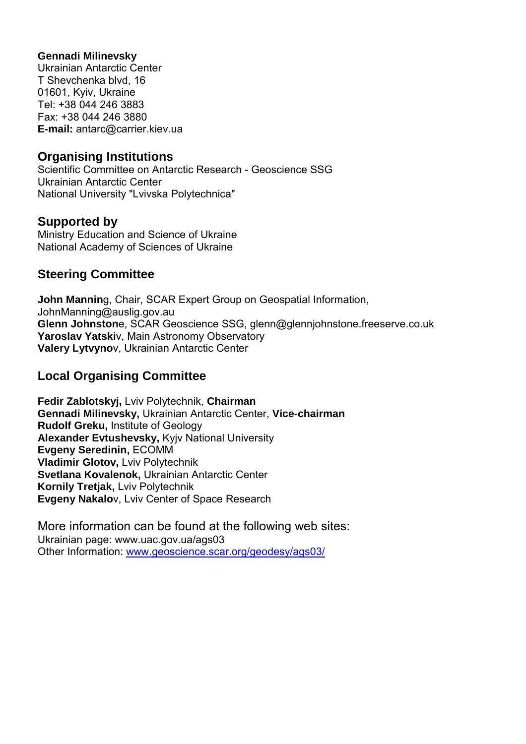### **Gennadi Milinevsky**

Ukrainian Antarctic Center T Shevchenka blvd, 16 01601, Kyiv, Ukraine Tel: +38 044 246 3883 Fax: +38 044 246 3880 **E-mail:** antarc@carrier.kiev.ua

# **Organising Institutions**

Scientific Committee on Antarctic Research - Geoscience SSG Ukrainian Antarctic Center National University "Lvivska Polytechnica"

# **Supported by**

Ministry Education and Science of Ukraine National Academy of Sciences of Ukraine

# **Steering Committee**

**John Mannin**g, Chair, SCAR Expert Group on Geospatial Information, JohnManning@auslig.gov.au **Glenn Johnston**e, SCAR Geoscience SSG, glenn@glennjohnstone.freeserve.co.uk **Yaroslav Yatski**v, Main Astronomy Observatory **Valery Lytvyno**v, Ukrainian Antarctic Center

# **Local Organising Committee**

**Fedir Zablotskyj,** Lviv Polytechnik, **Chairman Gennadi Milinevsky,** Ukrainian Antarctic Center, **Vice-chairman Rudolf Greku,** Institute of Geology **Alexander Evtushevsky,** Kyjv National University **Evgeny Seredinin,** ECOMM **Vladimir Glotov,** Lviv Polytechnik **Svetlana Kovalenok,** Ukrainian Antarctic Center **Kornily Tretjak,** Lviv Polytechnik **Evgeny Nakalo**v, Lviv Center of Space Research

More information can be found at the following web sites: Ukrainian page: www.uac.gov.ua/ags03 Other Information: [www.geoscience.scar.org/geodesy/ags03/](http://www.geoscience.scar.org/geodesy/ags03/)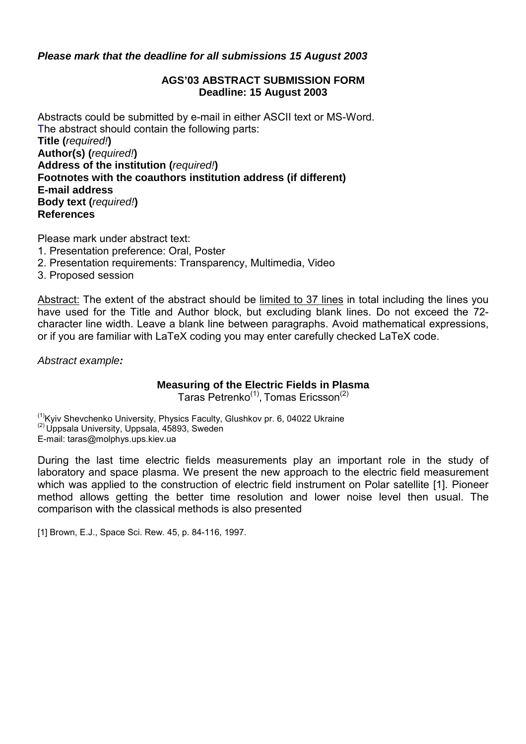### *Please mark that the deadline for all submissions 15 August 2003*

#### **AGS'03 ABSTRACT SUBMISSION FORM Deadline: 15 August 2003**

Abstracts could be submitted by e-mail in either ASCII text or MS-Word. The abstract should contain the following parts: **Title (***required!***) Author(s) (***required!***) Address of the institution (***required!***) Footnotes with the coauthors institution address (if different) E-mail address Body text (***required!***) References**

Please mark under abstract text:

- 1. Presentation preference: Oral, Poster
- 2. Presentation requirements: Transparency, Multimedia, Video
- 3. Proposed session

Abstract: The extent of the abstract should be limited to 37 lines in total including the lines you have used for the Title and Author block, but excluding blank lines. Do not exceed the 72 character line width. Leave a blank line between paragraphs. Avoid mathematical expressions, or if you are familiar with LaTeX coding you may enter carefully checked LaTeX code.

*Abstract example:*

## **Measuring of the Electric Fields in Plasma**

Taras Petrenko<sup>(1)</sup>, Tomas Ericsson<sup>(2)</sup>

<sup>(1)</sup>Kyiv Shevchenko University, Physics Faculty, Glushkov pr. 6, 04022 Ukraine <sup>(2)</sup> Uppsala University, Uppsala, 45893, Sweden E-mail: taras@molphys.ups.kiev.ua

During the last time electric fields measurements play an important role in the study of laboratory and space plasma. We present the new approach to the electric field measurement which was applied to the construction of electric field instrument on Polar satellite [1]. Pioneer method allows getting the better time resolution and lower noise level then usual. The comparison with the classical methods is also presented

[1] Brown, E.J., Space Sci. Rew. 45, p. 84-116, 1997.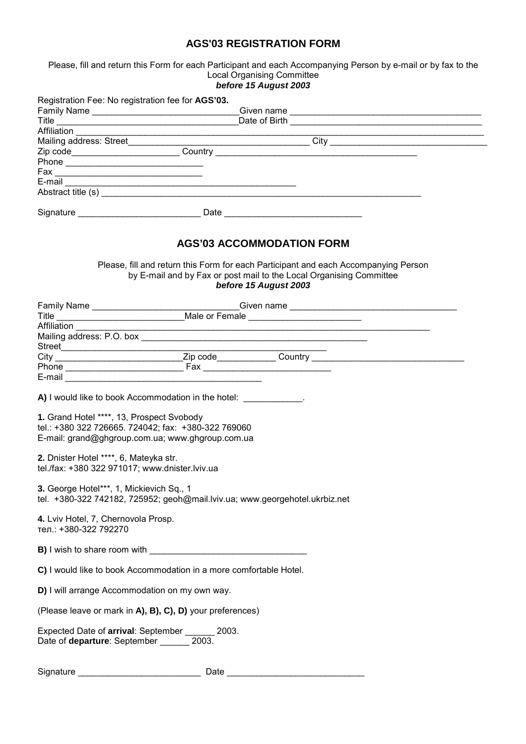#### **AGS'03 REGISTRATION FORM**

Please, fill and return this Form for each Participant and each Accompanying Person by e-mail or by fax to the Local Organising Committee

|                                                                                          | before 15 August 2003                                                                                                                                                               |  |
|------------------------------------------------------------------------------------------|-------------------------------------------------------------------------------------------------------------------------------------------------------------------------------------|--|
|                                                                                          | Registration Fee: No registration fee for AGS'03.                                                                                                                                   |  |
|                                                                                          |                                                                                                                                                                                     |  |
|                                                                                          |                                                                                                                                                                                     |  |
| Affiliation <b>Affiliation</b>                                                           |                                                                                                                                                                                     |  |
|                                                                                          |                                                                                                                                                                                     |  |
|                                                                                          |                                                                                                                                                                                     |  |
|                                                                                          |                                                                                                                                                                                     |  |
|                                                                                          |                                                                                                                                                                                     |  |
|                                                                                          |                                                                                                                                                                                     |  |
|                                                                                          |                                                                                                                                                                                     |  |
|                                                                                          | <b>AGS'03 ACCOMMODATION FORM</b>                                                                                                                                                    |  |
|                                                                                          | Please, fill and return this Form for each Participant and each Accompanying Person<br>by E-mail and by Fax or post mail to the Local Organising Committee<br>before 15 August 2003 |  |
|                                                                                          |                                                                                                                                                                                     |  |
|                                                                                          | Family Name _______________________________Given name ___________________________<br>Title _____________________________Male or Female ______________________________               |  |
| Affiliation                                                                              | <u> 1989 - Johann Barbara, margaret eta idazlea (h. 1989).</u>                                                                                                                      |  |
|                                                                                          |                                                                                                                                                                                     |  |
| Street                                                                                   |                                                                                                                                                                                     |  |
|                                                                                          |                                                                                                                                                                                     |  |
|                                                                                          |                                                                                                                                                                                     |  |
| 1. Grand Hotel ****, 13, Prospect Svobody                                                | A) I would like to book Accommodation in the hotel: ____________.<br>tel.: +380 322 726665. 724042; fax: +380-322 769060<br>E-mail: grand@ghgroup.com.ua; www.ghgroup.com.ua        |  |
| 2. Dnister Hotel ****, 6, Mateyka str.<br>tel./fax: +380 322 971017; www.dnister.lviv.ua |                                                                                                                                                                                     |  |
| 3. George Hotel***, 1, Mickievich Sq., 1                                                 | tel. +380-322 742182, 725952; geoh@mail.lviv.ua; www.georgehotel.ukrbiz.net                                                                                                         |  |
| 4. Lviv Hotel, 7, Chernovola Prosp.<br>тел.: +380-322 792270                             |                                                                                                                                                                                     |  |
|                                                                                          |                                                                                                                                                                                     |  |
|                                                                                          | C) I would like to book Accommodation in a more comfortable Hotel.                                                                                                                  |  |
|                                                                                          | D) I will arrange Accommodation on my own way.                                                                                                                                      |  |
|                                                                                          | (Please leave or mark in A), B), C), D) your preferences)                                                                                                                           |  |
|                                                                                          | Expected Date of arrival: September ______ 2003.                                                                                                                                    |  |
| Signature                                                                                | Date                                                                                                                                                                                |  |